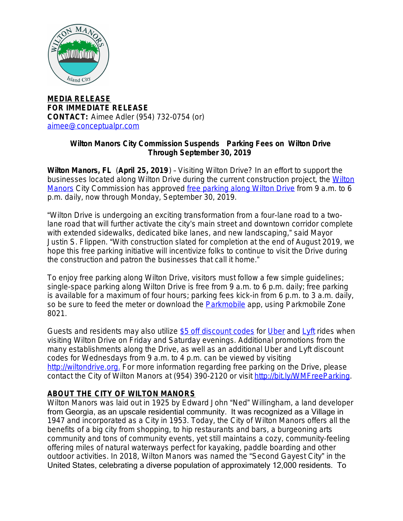

**MEDIA RELEASE FOR IMMEDIATE RELEASE CONTACT:** Aimee Adler (954) 732-0754 (or) [aimee@conceptualpr.com](mailto:aimee@conceptualpr.com)

## **Wilton Manors City Commission Suspends Parking Fees on Wilton Drive Through September 30, 2019**

**Wilton Manors, FL** (**April 25, 2019**) – Visiting Wilton Drive? In an effort to support the businesses located along Wilton Drive during the current construction project, the [Wilton](http://bit.ly/WiltonM) Manors City Commission has approved [free parking along Wilton Drive](http://bit.ly/WMFreeParking) from 9 a.m. to 6 p.m. daily, now through Monday, September 30, 2019.

"Wilton Drive is undergoing an exciting transformation from a four-lane road to a twolane road that will further activate the city's main street and downtown corridor complete with extended sidewalks, dedicated bike lanes, and new landscaping," said Mayor Justin S. Flippen. "With construction slated for completion at the end of August 2019, we hope this free parking initiative will incentivize folks to continue to visit the Drive during the construction and patron the businesses that call it home."

To enjoy free parking along Wilton Drive, visitors must follow a few simple guidelines; single-space parking along Wilton Drive is free from 9 a.m. to 6 p.m. daily; free parking is available for a maximum of four hours; parking fees kick-in from 6 p.m. to 3 a.m. daily, so be sure to feed the meter or download the **Parkmobile** app, using [Parkmobile](https://parkmobile.io/) Zone 8021.

Guests and residents may also utilize [\\$5 off discount codes](http://bit.ly/WMRideShare) for [Uber](https://www.uber.com/) and [Lyft](https://www.lyft.com/) rides when visiting Wilton Drive on Friday and Saturday evenings. Additional promotions from the many establishments along the Drive, as well as an additional Uber and Lyft discount codes for Wednesdays from 9 a.m. to 4 p.m. can be viewed by visiting [http://wiltondrive.org.](http://bit.ly/WMDrive) For more information regarding free parking on the Drive, please contact the City of Wilton Manors at (954) 390-2120 or visit [http://bit.ly/WMFreeParking.](http://bit.ly/WMFreeParking)

## **ABOUT THE CITY OF WILTON MANORS**

Wilton Manors was laid out in 1925 by Edward John "Ned" Willingham, a land developer from Georgia, as an upscale residential community. It was recognized as a Village in 1947 and incorporated as a City in 1953. Today, the City of Wilton Manors offers all the benefits of a big city from shopping, to hip restaurants and bars, a burgeoning arts community and tons of community events, yet still maintains a cozy, community-feeling offering miles of natural waterways perfect for kayaking, paddle boarding and other outdoor activities. In 2018, Wilton Manors was named the "Second Gayest City" in the United States, celebrating a diverse population of approximately 12,000 residents. To